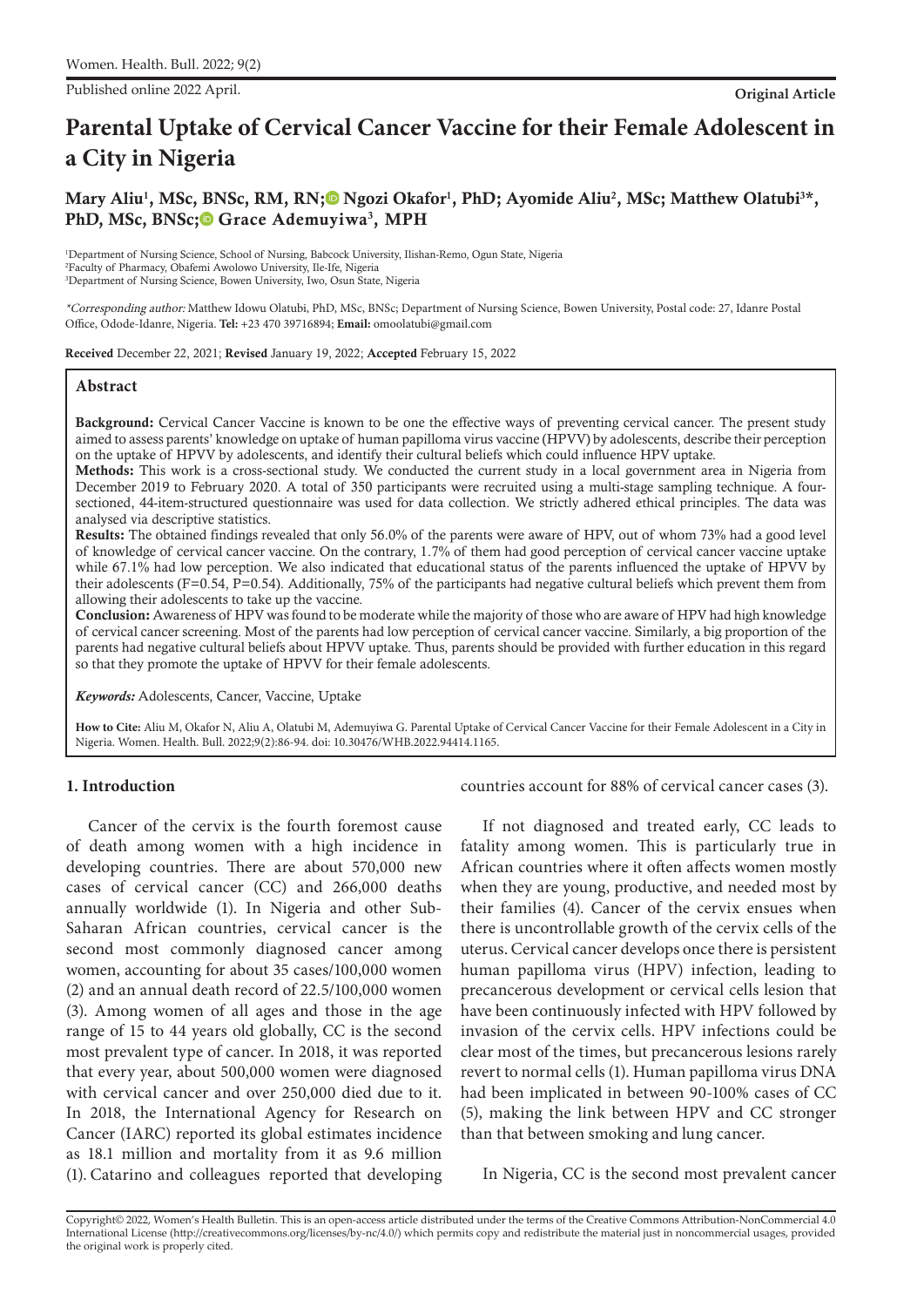Published online 2022 April. **Original Article**

# **Parental Uptake of Cervical Cancer Vaccine for their Female Adolescent in a City in Nigeria**

# Mary Aliu<sup>1</sup>, MSc, BNSc, RM, RN;<sup>®</sup> Ngozi Okafor<sup>1</sup>, PhD[;](https://orcid.org/0000-0002-6999-4045) Ayomide Aliu<sup>2</sup>, MSc; Matthew Olatubi<sup>3\*</sup>, PhD, MSc, BNSc[;](https://orcid.org/0000-0001-6527-5257
)<sup>®</sup> Grace Ademuyiwa<sup>3</sup>, MPH

1 Department of Nursing Science, School of Nursing, Babcock University, Ilishan-Remo, Ogun State, Nigeria 2 Faculty of Pharmacy, Obafemi Awolowo University, Ile-Ife, Nigeria 3 Department of Nursing Science, Bowen University, Iwo, Osun State, Nigeria

\*Corresponding author: Matthew Idowu Olatubi, PhD, MSc, BNSc; Department of Nursing Science, Bowen University, Postal code: 27, Idanre Postal Office, Odode-Idanre, Nigeria. **Tel:** +23 470 39716894; **Email:** omoolatubi@gmail.com

Received December 22, 2021; Revised January 19, 2022; Accepted February 15, 2022

#### **Abstract**

Background: Cervical Cancer Vaccine is known to be one the effective ways of preventing cervical cancer. The present study aimed to assess parents' knowledge on uptake of human papilloma virus vaccine (HPVV) by adolescents, describe their perception on the uptake of HPVV by adolescents, and identify their cultural beliefs which could influence HPV uptake.

Methods: This work is a cross-sectional study. We conducted the current study in a local government area in Nigeria from December 2019 to February 2020. A total of 350 participants were recruited using a multi-stage sampling technique. A foursectioned, 44-item-structured questionnaire was used for data collection. We strictly adhered ethical principles. The data was analysed via descriptive statistics.

Results: The obtained findings revealed that only 56.0% of the parents were aware of HPV, out of whom 73% had a good level of knowledge of cervical cancer vaccine. On the contrary, 1.7% of them had good perception of cervical cancer vaccine uptake while 67.1% had low perception. We also indicated that educational status of the parents influenced the uptake of HPVV by their adolescents (F=0.54, P=0.54). Additionally, 75% of the participants had negative cultural beliefs which prevent them from allowing their adolescents to take up the vaccine.

Conclusion: Awareness of HPV was found to be moderate while the majority of those who are aware of HPV had high knowledge of cervical cancer screening. Most of the parents had low perception of cervical cancer vaccine. Similarly, a big proportion of the parents had negative cultural beliefs about HPVV uptake. Thus, parents should be provided with further education in this regard so that they promote the uptake of HPVV for their female adolescents.

*Keywords:* Adolescents, Cancer, Vaccine, Uptake

**How to Cite:** Aliu M, Okafor N, Aliu A, Olatubi M, Ademuyiwa G. Parental Uptake of Cervical Cancer Vaccine for their Female Adolescent in a City in Nigeria. Women. Health. Bull. 2022;9(2):86-94. doi: 10.30476/WHB.2022.94414.1165.

## **1. Introduction**

Cancer of the cervix is the fourth foremost cause of death among women with a high incidence in developing countries. There are about 570,000 new cases of cervical cancer (CC) and 266,000 deaths annually worldwide (1). In Nigeria and other Sub-Saharan African countries, cervical cancer is the second most commonly diagnosed cancer among women, accounting for about 35 cases/100,000 women (2) and an annual death record of 22.5/100,000 women (3). Among women of all ages and those in the age range of 15 to 44 years old globally, CC is the second most prevalent type of cancer. In 2018, it was reported that every year, about 500,000 women were diagnosed with cervical cancer and over 250,000 died due to it. In 2018, the International Agency for Research on Cancer (IARC) reported its global estimates incidence as 18.1 million and mortality from it as 9.6 million (1). Catarino and colleagues reported that developing countries account for 88% of cervical cancer cases (3).

If not diagnosed and treated early, CC leads to fatality among women. This is particularly true in African countries where it often affects women mostly when they are young, productive, and needed most by their families (4). Cancer of the cervix ensues when there is uncontrollable growth of the cervix cells of the uterus. Cervical cancer develops once there is persistent human papilloma virus (HPV) infection, leading to precancerous development or cervical cells lesion that have been continuously infected with HPV followed by invasion of the cervix cells. HPV infections could be clear most of the times, but precancerous lesions rarely revert to normal cells (1). Human papilloma virus DNA had been implicated in between 90-100% cases of CC (5), making the link between HPV and CC stronger than that between smoking and lung cancer.

In Nigeria, CC is the second most prevalent cancer

Copyright© 2022, Women's Health Bulletin. This is an open-access article distributed under the terms of the Creative Commons Attribution-NonCommercial 4.0 International License (http://creativecommons.org/licenses/by-nc/4.0/) which permits copy and redistribute the material just in noncommercial usages, provided the original work is properly cited.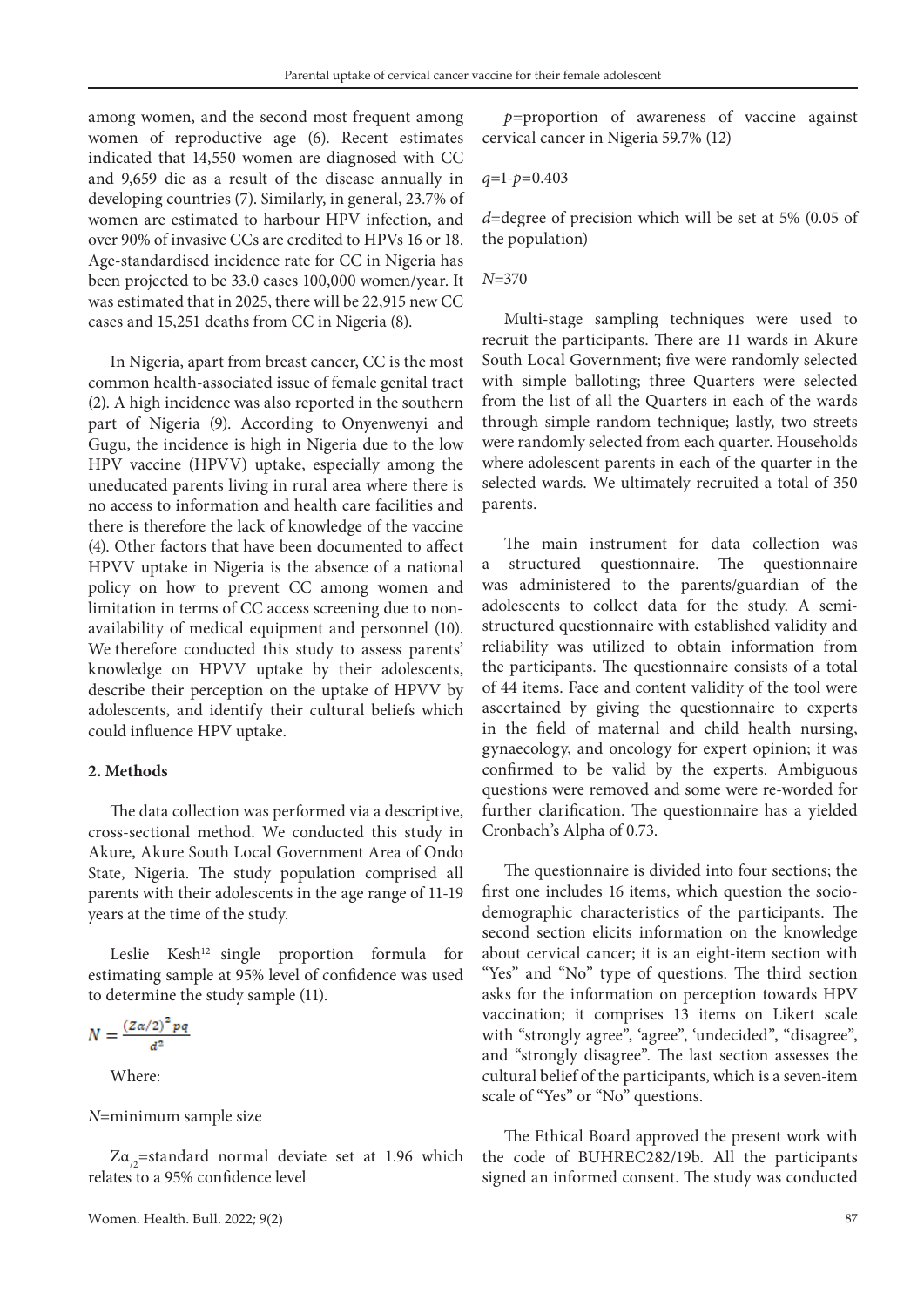among women, and the second most frequent among women of reproductive age (6). Recent estimates indicated that 14,550 women are diagnosed with CC and 9,659 die as a result of the disease annually in developing countries (7). Similarly, in general, 23.7% of women are estimated to harbour HPV infection, and over 90% of invasive CCs are credited to HPVs 16 or 18. Age-standardised incidence rate for CC in Nigeria has been projected to be 33.0 cases 100,000 women/year. It was estimated that in 2025, there will be 22,915 new CC cases and 15,251 deaths from CC in Nigeria (8).

In Nigeria, apart from breast cancer, CC is the most common health-associated issue of female genital tract (2). A high incidence was also reported in the southern part of Nigeria (9). According to Onyenwenyi and Gugu, the incidence is high in Nigeria due to the low HPV vaccine (HPVV) uptake, especially among the uneducated parents living in rural area where there is no access to information and health care facilities and there is therefore the lack of knowledge of the vaccine (4). Other factors that have been documented to affect HPVV uptake in Nigeria is the absence of a national policy on how to prevent CC among women and limitation in terms of CC access screening due to nonavailability of medical equipment and personnel (10). We therefore conducted this study to assess parents' knowledge on HPVV uptake by their adolescents, describe their perception on the uptake of HPVV by adolescents, and identify their cultural beliefs which could influence HPV uptake.

#### **2. Methods**

The data collection was performed via a descriptive, cross-sectional method. We conducted this study in Akure, Akure South Local Government Area of Ondo State, Nigeria. The study population comprised all parents with their adolescents in the age range of 11-19 years at the time of the study.

Leslie Kesh<sup>12</sup> single proportion formula for estimating sample at 95% level of confidence was used to determine the study sample (11).

$$
N=\frac{\left(Z\alpha/2\right)^2pq}{d^2}
$$

Where:

#### *N*=minimum sample size

 $Z\alpha_{0}$ =standard normal deviate set at 1.96 which relates to a 95% confidence level

*p=*proportion of awareness of vaccine against cervical cancer in Nigeria 59.7% (12)

$$
q=1-p=0.403
$$

*d*=degree of precision which will be set at 5% (0.05 of the population)

#### *N*=370

Multi-stage sampling techniques were used to recruit the participants. There are 11 wards in Akure South Local Government; five were randomly selected with simple balloting; three Quarters were selected from the list of all the Quarters in each of the wards through simple random technique; lastly, two streets were randomly selected from each quarter. Households where adolescent parents in each of the quarter in the selected wards. We ultimately recruited a total of 350 parents.

The main instrument for data collection was a structured questionnaire. The questionnaire was administered to the parents/guardian of the adolescents to collect data for the study. A semistructured questionnaire with established validity and reliability was utilized to obtain information from the participants. The questionnaire consists of a total of 44 items. Face and content validity of the tool were ascertained by giving the questionnaire to experts in the field of maternal and child health nursing, gynaecology, and oncology for expert opinion; it was confirmed to be valid by the experts. Ambiguous questions were removed and some were re-worded for further clarification. The questionnaire has a yielded Cronbach's Alpha of 0.73.

The questionnaire is divided into four sections; the first one includes 16 items, which question the sociodemographic characteristics of the participants. The second section elicits information on the knowledge about cervical cancer; it is an eight-item section with "Yes" and "No" type of questions. The third section asks for the information on perception towards HPV vaccination; it comprises 13 items on Likert scale with "strongly agree", 'agree", 'undecided", "disagree", and "strongly disagree". The last section assesses the cultural belief of the participants, which is a seven-item scale of "Yes" or "No" questions.

The Ethical Board approved the present work with the code of BUHREC282/19b. All the participants signed an informed consent. The study was conducted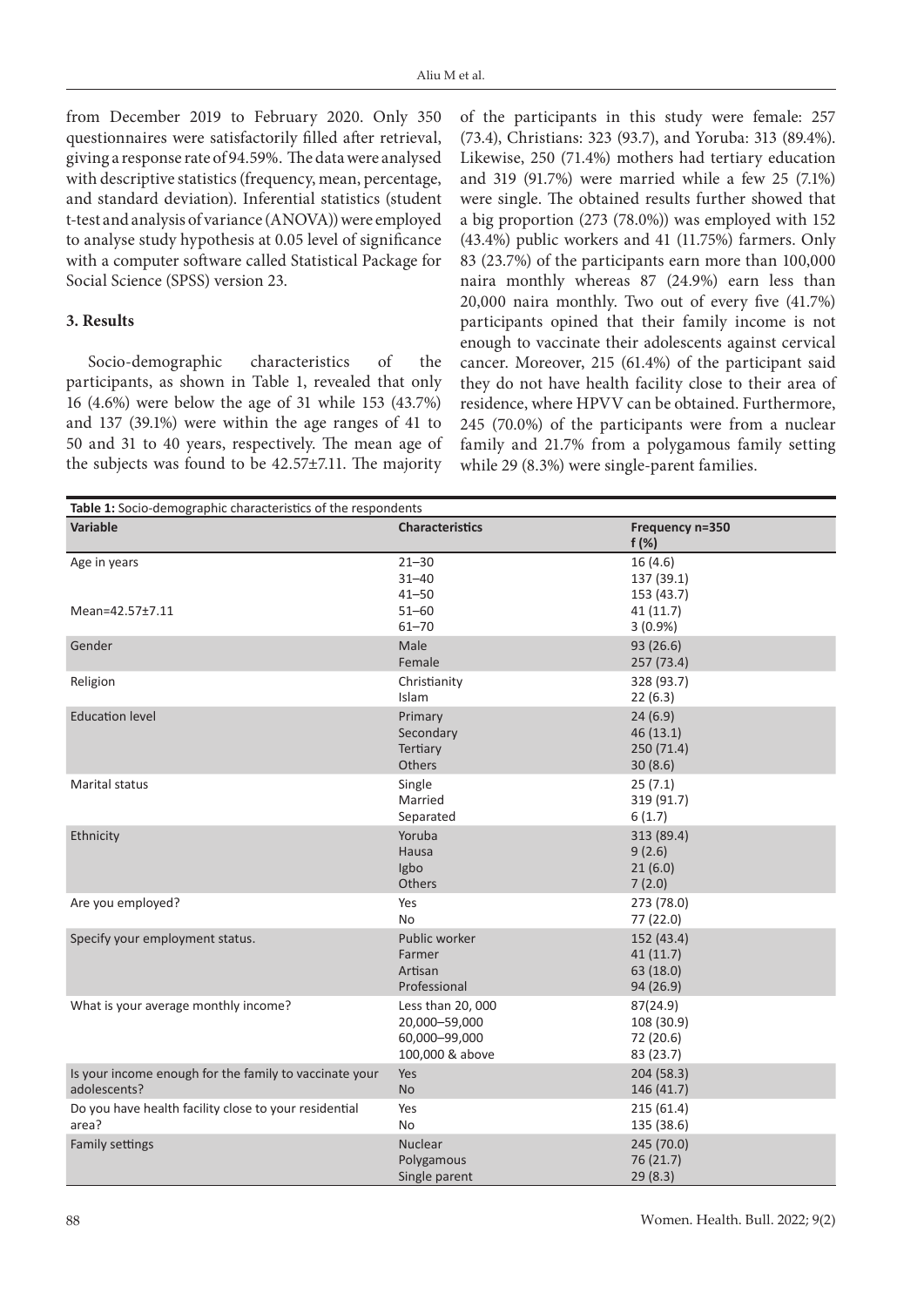from December 2019 to February 2020. Only 350 questionnaires were satisfactorily filled after retrieval, giving a response rate of 94.59%. The data were analysed with descriptive statistics (frequency, mean, percentage, and standard deviation). Inferential statistics (student t-test and analysis of variance (ANOVA)) were employed to analyse study hypothesis at 0.05 level of significance with a computer software called Statistical Package for Social Science (SPSS) version 23.

### **3. Results**

Socio-demographic characteristics of the participants, as shown in Table 1, revealed that only 16 (4.6%) were below the age of 31 while 153 (43.7%) and 137 (39.1%) were within the age ranges of 41 to 50 and 31 to 40 years, respectively. The mean age of the subjects was found to be 42.57±7.11. The majority

of the participants in this study were female: 257 (73.4), Christians: 323 (93.7), and Yoruba: 313 (89.4%). Likewise, 250 (71.4%) mothers had tertiary education and 319 (91.7%) were married while a few 25 (7.1%) were single. The obtained results further showed that a big proportion (273 (78.0%)) was employed with 152 (43.4%) public workers and 41 (11.75%) farmers. Only 83 (23.7%) of the participants earn more than 100,000 naira monthly whereas 87 (24.9%) earn less than 20,000 naira monthly. Two out of every five (41.7%) participants opined that their family income is not enough to vaccinate their adolescents against cervical cancer. Moreover, 215 (61.4%) of the participant said they do not have health facility close to their area of residence, where HPVV can be obtained. Furthermore, 245 (70.0%) of the participants were from a nuclear family and 21.7% from a polygamous family setting while 29 (8.3%) were single-parent families.

| Table 1: Socio-demographic characteristics of the respondents          |                                                                        |                                                  |  |  |
|------------------------------------------------------------------------|------------------------------------------------------------------------|--------------------------------------------------|--|--|
| Variable                                                               | <b>Characteristics</b>                                                 | Frequency n=350<br>$f(\%)$                       |  |  |
| Age in years<br>Mean=42.57±7.11                                        | $21 - 30$<br>$31 - 40$<br>$41 - 50$<br>$51 - 60$                       | 16(4.6)<br>137 (39.1)<br>153 (43.7)<br>41 (11.7) |  |  |
|                                                                        | $61 - 70$                                                              | $3(0.9\%)$                                       |  |  |
| Gender                                                                 | Male<br>Female                                                         | 93 (26.6)<br>257 (73.4)                          |  |  |
| Religion                                                               | Christianity<br>Islam                                                  | 328 (93.7)<br>22(6.3)                            |  |  |
| <b>Education level</b>                                                 | Primary<br>Secondary<br>Tertiary<br>Others                             | 24(6.9)<br>46(13.1)<br>250 (71.4)<br>30(8.6)     |  |  |
| Marital status                                                         | Single<br>Married<br>Separated                                         | 25(7.1)<br>319 (91.7)<br>6(1.7)                  |  |  |
| Ethnicity                                                              | Yoruba<br>Hausa<br>Igbo<br>Others                                      | 313 (89.4)<br>9(2.6)<br>21(6.0)<br>7(2.0)        |  |  |
| Are you employed?                                                      | Yes<br><b>No</b>                                                       | 273 (78.0)<br>77 (22.0)                          |  |  |
| Specify your employment status.                                        | Public worker<br>Farmer<br>Artisan<br>Professional                     | 152 (43.4)<br>41(11.7)<br>63 (18.0)<br>94 (26.9) |  |  |
| What is your average monthly income?                                   | Less than 20, 000<br>20,000-59,000<br>60,000-99,000<br>100,000 & above | 87(24.9)<br>108 (30.9)<br>72 (20.6)<br>83 (23.7) |  |  |
| Is your income enough for the family to vaccinate your<br>adolescents? | Yes<br><b>No</b>                                                       | 204 (58.3)<br>146 (41.7)                         |  |  |
| Do you have health facility close to your residential<br>area?         | Yes<br>No.                                                             | 215(61.4)<br>135 (38.6)                          |  |  |
| Family settings                                                        | Nuclear<br>Polygamous<br>Single parent                                 | 245 (70.0)<br>76 (21.7)<br>29 (8.3)              |  |  |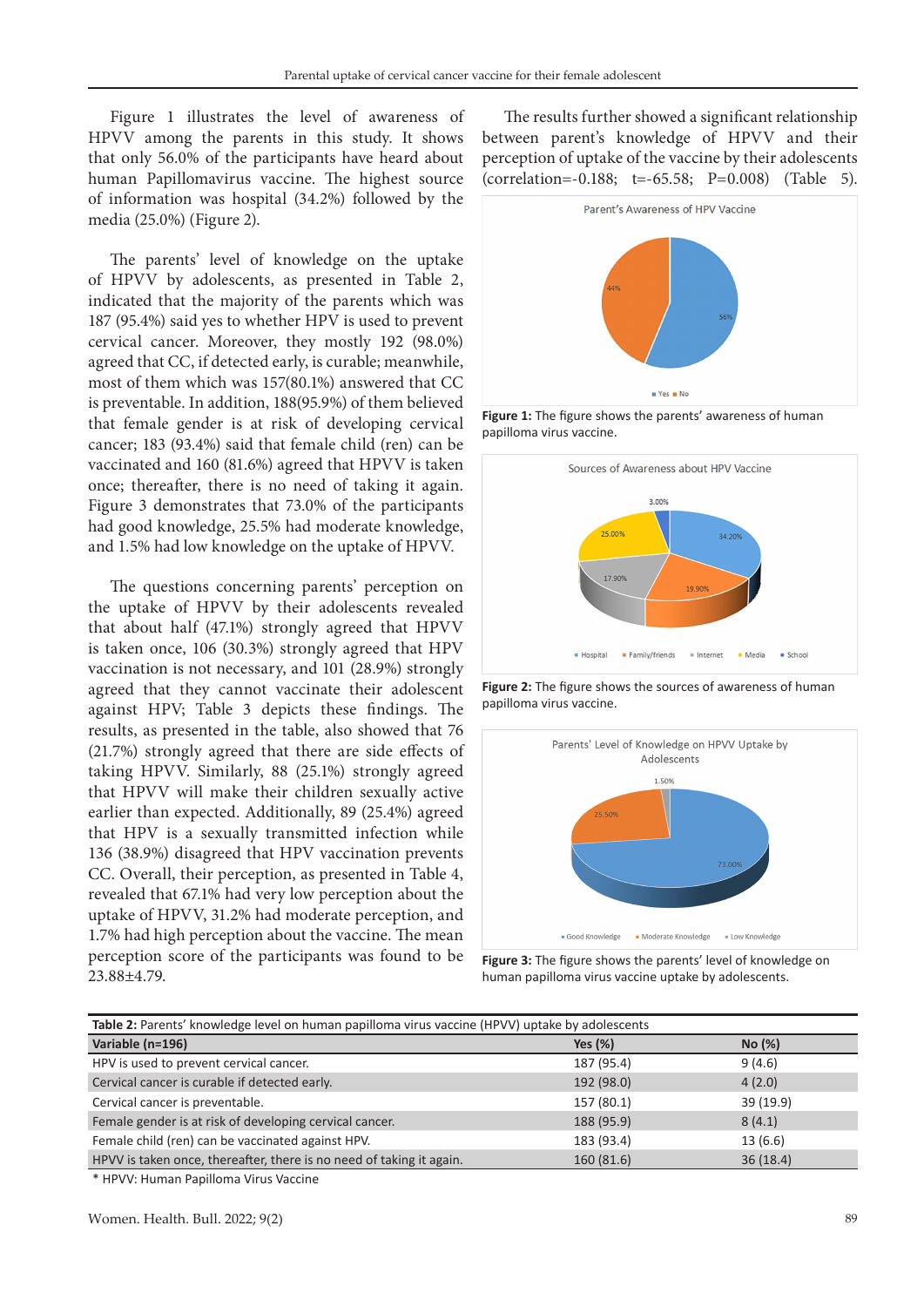Figure 1 illustrates the level of awareness of HPVV among the parents in this study. It shows that only 56.0% of the participants have heard about human Papillomavirus vaccine. The highest source of information was hospital (34.2%) followed by the media (25.0%) (Figure 2).

The parents' level of knowledge on the uptake of HPVV by adolescents, as presented in Table 2, indicated that the majority of the parents which was 187 (95.4%) said yes to whether HPV is used to prevent cervical cancer. Moreover, they mostly 192 (98.0%) agreed that CC, if detected early, is curable; meanwhile, most of them which was 157(80.1%) answered that CC is preventable. In addition, 188(95.9%) of them believed that female gender is at risk of developing cervical cancer; 183 (93.4%) said that female child (ren) can be vaccinated and 160 (81.6%) agreed that HPVV is taken once; thereafter, there is no need of taking it again. Figure 3 demonstrates that 73.0% of the participants had good knowledge, 25.5% had moderate knowledge, and 1.5% had low knowledge on the uptake of HPVV.

The questions concerning parents' perception on the uptake of HPVV by their adolescents revealed that about half (47.1%) strongly agreed that HPVV is taken once, 106 (30.3%) strongly agreed that HPV vaccination is not necessary, and 101 (28.9%) strongly agreed that they cannot vaccinate their adolescent against HPV; Table 3 depicts these findings. The results, as presented in the table, also showed that 76 (21.7%) strongly agreed that there are side effects of taking HPVV. Similarly, 88 (25.1%) strongly agreed that HPVV will make their children sexually active earlier than expected. Additionally, 89 (25.4%) agreed that HPV is a sexually transmitted infection while 136 (38.9%) disagreed that HPV vaccination prevents CC. Overall, their perception, as presented in Table 4, revealed that 67.1% had very low perception about the uptake of HPVV, 31.2% had moderate perception, and 1.7% had high perception about the vaccine. The mean perception score of the participants was found to be 23.88±4.79.

The results further showed a significant relationship between parent's knowledge of HPVV and their perception of uptake of the vaccine by their adolescents (correlation=-0.188; t=-65.58; P=0.008) (Table 5).



**Figure 1:** The figure shows the parents' awareness of human papilloma virus vaccine.



**Figure 2:** The figure shows the sources of awareness of human papilloma virus vaccine.



**Figure 3:** The figure shows the parents' level of knowledge on human papilloma virus vaccine uptake by adolescents.

| Table 2: Parents' knowledge level on human papilloma virus vaccine (HPVV) uptake by adolescents |            |           |  |  |
|-------------------------------------------------------------------------------------------------|------------|-----------|--|--|
| Variable (n=196)                                                                                | Yes $(\%)$ | No(%)     |  |  |
| HPV is used to prevent cervical cancer.                                                         | 187 (95.4) | 9(4.6)    |  |  |
| Cervical cancer is curable if detected early.                                                   | 192 (98.0) | 4(2.0)    |  |  |
| Cervical cancer is preventable.                                                                 | 157 (80.1) | 39 (19.9) |  |  |
| Female gender is at risk of developing cervical cancer.                                         | 188 (95.9) | 8(4.1)    |  |  |
| Female child (ren) can be vaccinated against HPV.                                               | 183 (93.4) | 13(6.6)   |  |  |
| HPVV is taken once, thereafter, there is no need of taking it again.                            | 160 (81.6) | 36(18.4)  |  |  |

\* HPVV: Human Papilloma Virus Vaccine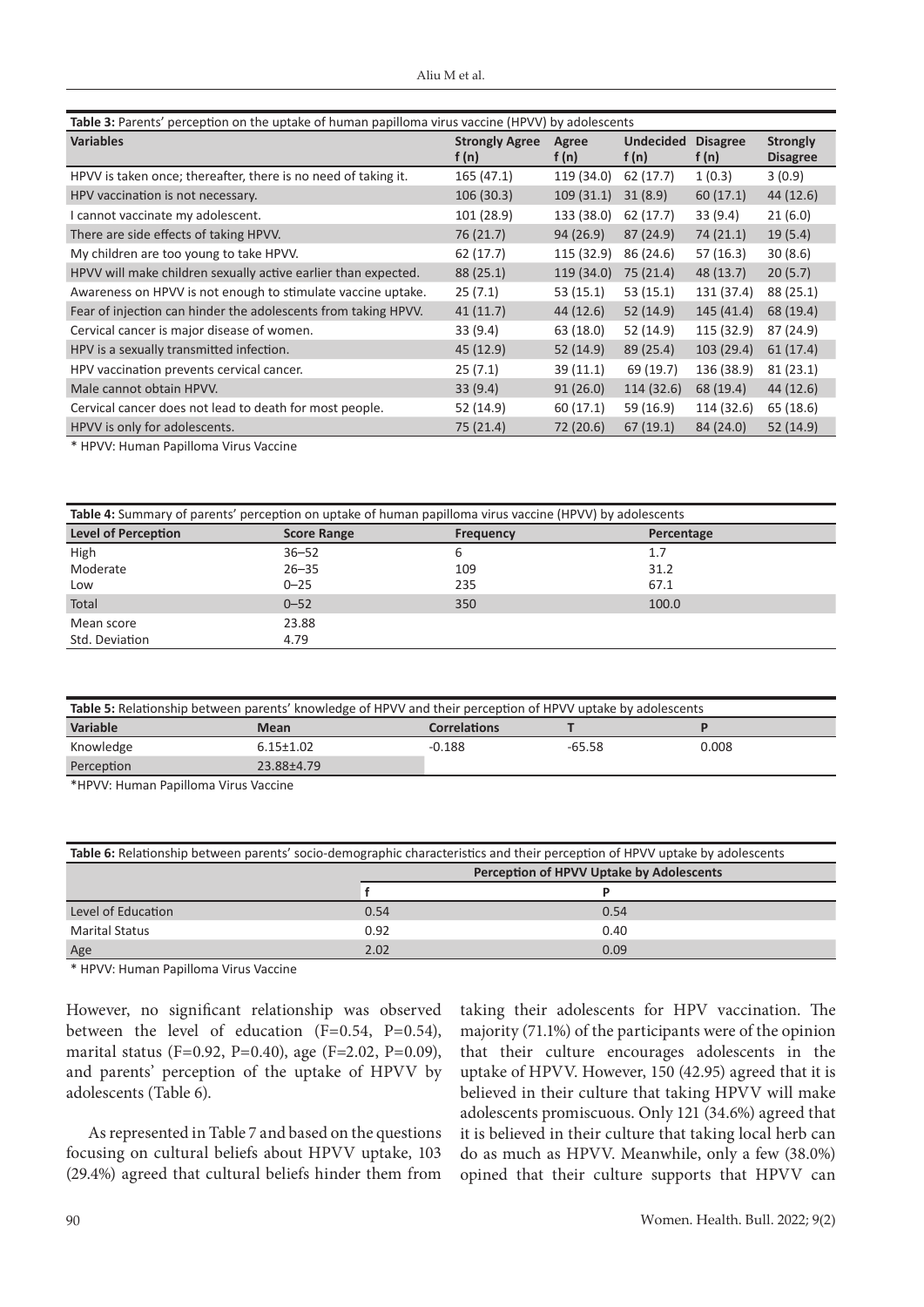| <b>Table 3:</b> Parents' perception on the uptake of human papilloma virus vaccine (HPVV) by adolescents |                                |                |                           |                            |                                    |
|----------------------------------------------------------------------------------------------------------|--------------------------------|----------------|---------------------------|----------------------------|------------------------------------|
| <b>Variables</b>                                                                                         | <b>Strongly Agree</b><br>f (n) | Agree<br>f (n) | <b>Undecided</b><br>f (n) | <b>Disagree</b><br>f $(n)$ | <b>Strongly</b><br><b>Disagree</b> |
| HPVV is taken once; thereafter, there is no need of taking it.                                           | 165 (47.1)                     | 119 (34.0)     | 62 (17.7)                 | 1(0.3)                     | 3(0.9)                             |
| HPV vaccination is not necessary.                                                                        | 106 (30.3)                     | 109(31.1)      | 31(8.9)                   | 60(17.1)                   | 44(12.6)                           |
| I cannot vaccinate my adolescent.                                                                        | 101 (28.9)                     | 133 (38.0)     | 62 (17.7)                 | 33 (9.4)                   | 21(6.0)                            |
| There are side effects of taking HPVV.                                                                   | 76 (21.7)                      | 94 (26.9)      | 87(24.9)                  | 74(21.1)                   | 19(5.4)                            |
| My children are too young to take HPVV.                                                                  | 62 (17.7)                      | 115 (32.9)     | 86 (24.6)                 | 57 (16.3)                  | 30(8.6)                            |
| HPVV will make children sexually active earlier than expected.                                           | 88 (25.1)                      | 119 (34.0)     | 75(21.4)                  | 48 (13.7)                  | 20(5.7)                            |
| Awareness on HPVV is not enough to stimulate vaccine uptake.                                             | 25(7.1)                        | 53 (15.1)      | 53 (15.1)                 | 131 (37.4)                 | 88 (25.1)                          |
| Fear of injection can hinder the adolescents from taking HPVV.                                           | 41(11.7)                       | 44 (12.6)      | 52(14.9)                  | 145(41.4)                  | 68 (19.4)                          |
| Cervical cancer is major disease of women.                                                               | 33(9.4)                        | 63 (18.0)      | 52 (14.9)                 | 115 (32.9)                 | 87 (24.9)                          |
| HPV is a sexually transmitted infection.                                                                 | 45 (12.9)                      | 52(14.9)       | 89 (25.4)                 | 103(29.4)                  | 61(17.4)                           |
| HPV vaccination prevents cervical cancer.                                                                | 25(7.1)                        | 39(11.1)       | 69 (19.7)                 | 136 (38.9)                 | 81(23.1)                           |
| Male cannot obtain HPVV.                                                                                 | 33(9.4)                        | 91(26.0)       | 114 (32.6)                | 68 (19.4)                  | 44 (12.6)                          |
| Cervical cancer does not lead to death for most people.                                                  | 52 (14.9)                      | 60(17.1)       | 59 (16.9)                 | 114 (32.6)                 | 65 (18.6)                          |
| HPVV is only for adolescents.                                                                            | 75 (21.4)                      | 72 (20.6)      | 67(19.1)                  | 84 (24.0)                  | 52(14.9)                           |

\* HPVV: Human Papilloma Virus Vaccine

| Table 4: Summary of parents' perception on uptake of human papilloma virus vaccine (HPVV) by adolescents |                    |           |            |  |
|----------------------------------------------------------------------------------------------------------|--------------------|-----------|------------|--|
| <b>Level of Perception</b>                                                                               | <b>Score Range</b> | Frequency | Percentage |  |
| High                                                                                                     | $36 - 52$          | ь         | 1.7        |  |
| Moderate                                                                                                 | $26 - 35$          | 109       | 31.2       |  |
| Low                                                                                                      | $0 - 25$           | 235       | 67.1       |  |
| Total                                                                                                    | $0 - 52$           | 350       | 100.0      |  |
| Mean score                                                                                               | 23.88              |           |            |  |
| Std. Deviation                                                                                           | 4.79               |           |            |  |

| Table 5: Relationship between parents' knowledge of HPVV and their perception of HPVV uptake by adolescents |                 |                     |        |       |
|-------------------------------------------------------------------------------------------------------------|-----------------|---------------------|--------|-------|
| Variable                                                                                                    | <b>Mean</b>     | <b>Correlations</b> |        |       |
| Knowledge                                                                                                   | $6.15 \pm 1.02$ | $-0.188$            | -65.58 | 0.008 |
| Perception                                                                                                  | 23.88±4.79      |                     |        |       |

\*HPVV: Human Papilloma Virus Vaccine

| Table 6: Relationship between parents' socio-demographic characteristics and their perception of HPVV uptake by adolescents |                                          |      |  |
|-----------------------------------------------------------------------------------------------------------------------------|------------------------------------------|------|--|
|                                                                                                                             | Perception of HPVV Uptake by Adolescents |      |  |
|                                                                                                                             |                                          |      |  |
| Level of Education                                                                                                          | 0.54                                     | 0.54 |  |
| <b>Marital Status</b>                                                                                                       | 0.92                                     | 0.40 |  |
| Age                                                                                                                         | 2.02                                     | 0.09 |  |

\* HPVV: Human Papilloma Virus Vaccine

However, no significant relationship was observed between the level of education  $(F=0.54, P=0.54)$ , marital status (F=0.92, P=0.40), age (F=2.02, P=0.09), and parents' perception of the uptake of HPVV by adolescents (Table 6).

As represented in Table 7 and based on the questions focusing on cultural beliefs about HPVV uptake, 103 (29.4%) agreed that cultural beliefs hinder them from taking their adolescents for HPV vaccination. The majority (71.1%) of the participants were of the opinion that their culture encourages adolescents in the uptake of HPVV. However, 150 (42.95) agreed that it is believed in their culture that taking HPVV will make adolescents promiscuous. Only 121 (34.6%) agreed that it is believed in their culture that taking local herb can do as much as HPVV. Meanwhile, only a few (38.0%) opined that their culture supports that HPVV can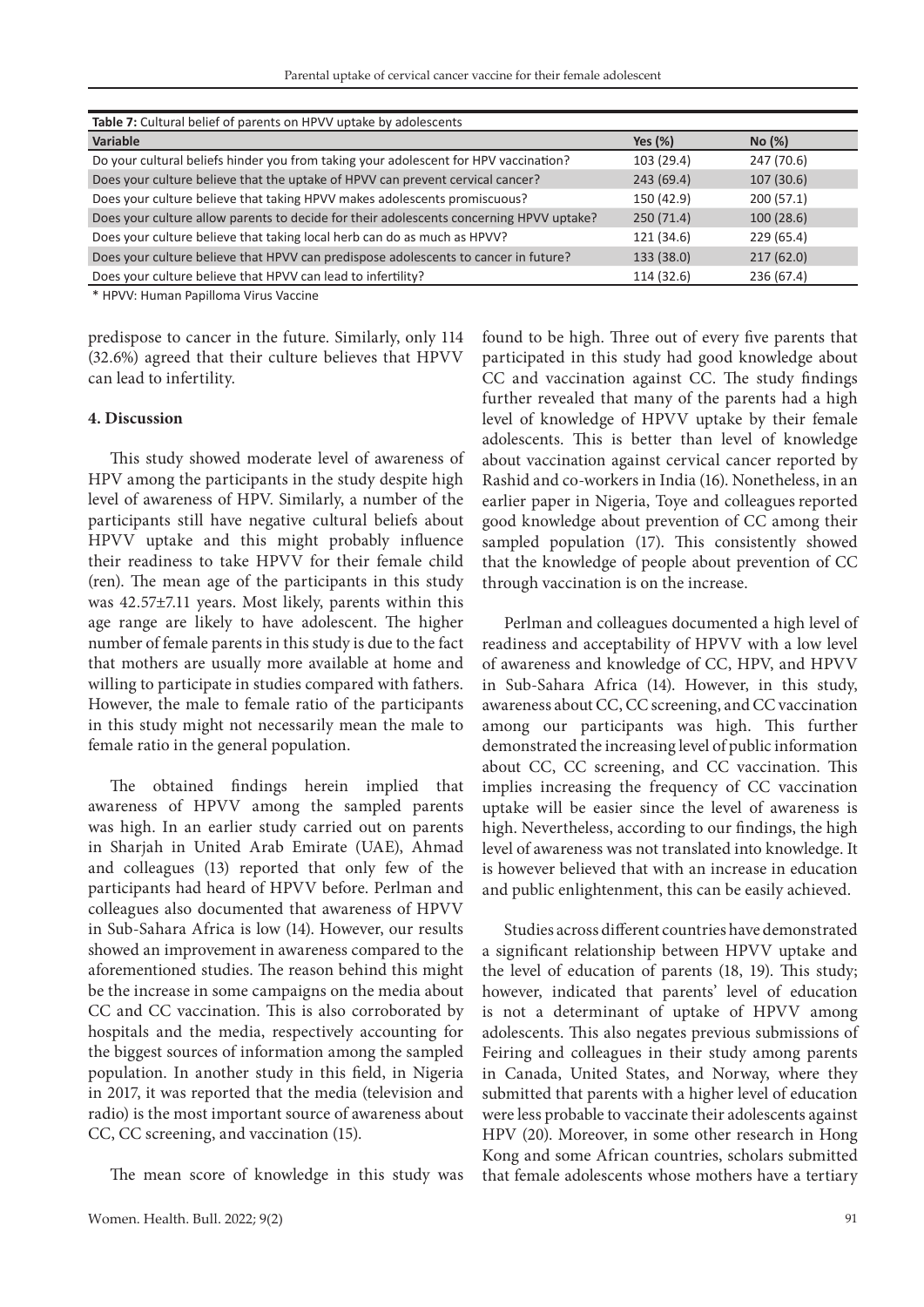| Table 7: Cultural belief of parents on HPVV uptake by adolescents                       |            |            |  |  |  |
|-----------------------------------------------------------------------------------------|------------|------------|--|--|--|
| Variable                                                                                | Yes $(\%)$ | No (%)     |  |  |  |
| Do your cultural beliefs hinder you from taking your adolescent for HPV vaccination?    | 103 (29.4) | 247 (70.6) |  |  |  |
| Does your culture believe that the uptake of HPVV can prevent cervical cancer?          | 243(69.4)  | 107(30.6)  |  |  |  |
| Does your culture believe that taking HPVV makes adolescents promiscuous?               | 150 (42.9) | 200(57.1)  |  |  |  |
| Does your culture allow parents to decide for their adolescents concerning HPVV uptake? | 250(71.4)  | 100 (28.6) |  |  |  |
| Does your culture believe that taking local herb can do as much as HPVV?                | 121 (34.6) | 229 (65.4) |  |  |  |
| Does your culture believe that HPVV can predispose adolescents to cancer in future?     | 133 (38.0) | 217(62.0)  |  |  |  |
| Does your culture believe that HPVV can lead to infertility?                            | 114 (32.6) | 236 (67.4) |  |  |  |
|                                                                                         |            |            |  |  |  |

\* HPVV: Human Papilloma Virus Vaccine

predispose to cancer in the future. Similarly, only 114 (32.6%) agreed that their culture believes that HPVV can lead to infertility.

#### **4. Discussion**

This study showed moderate level of awareness of HPV among the participants in the study despite high level of awareness of HPV. Similarly, a number of the participants still have negative cultural beliefs about HPVV uptake and this might probably influence their readiness to take HPVV for their female child (ren). The mean age of the participants in this study was 42.57±7.11 years. Most likely, parents within this age range are likely to have adolescent. The higher number of female parents in this study is due to the fact that mothers are usually more available at home and willing to participate in studies compared with fathers. However, the male to female ratio of the participants in this study might not necessarily mean the male to female ratio in the general population.

The obtained findings herein implied that awareness of HPVV among the sampled parents was high. In an earlier study carried out on parents in Sharjah in United Arab Emirate (UAE), Ahmad and colleagues (13) reported that only few of the participants had heard of HPVV before. Perlman and colleagues also documented that awareness of HPVV in Sub-Sahara Africa is low (14). However, our results showed an improvement in awareness compared to the aforementioned studies. The reason behind this might be the increase in some campaigns on the media about CC and CC vaccination. This is also corroborated by hospitals and the media, respectively accounting for the biggest sources of information among the sampled population. In another study in this field, in Nigeria in 2017, it was reported that the media (television and radio) is the most important source of awareness about CC, CC screening, and vaccination (15).

The mean score of knowledge in this study was

found to be high. Three out of every five parents that participated in this study had good knowledge about CC and vaccination against CC. The study findings further revealed that many of the parents had a high level of knowledge of HPVV uptake by their female adolescents. This is better than level of knowledge about vaccination against cervical cancer reported by Rashid and co-workers in India (16). Nonetheless, in an earlier paper in Nigeria, Toye and colleagues reported good knowledge about prevention of CC among their sampled population (17). This consistently showed that the knowledge of people about prevention of CC through vaccination is on the increase.

Perlman and colleagues documented a high level of readiness and acceptability of HPVV with a low level of awareness and knowledge of CC, HPV, and HPVV in Sub-Sahara Africa (14). However, in this study, awareness about CC, CC screening, and CC vaccination among our participants was high. This further demonstrated the increasing level of public information about CC, CC screening, and CC vaccination. This implies increasing the frequency of CC vaccination uptake will be easier since the level of awareness is high. Nevertheless, according to our findings, the high level of awareness was not translated into knowledge. It is however believed that with an increase in education and public enlightenment, this can be easily achieved.

Studies across different countries have demonstrated a significant relationship between HPVV uptake and the level of education of parents (18, 19). This study; however, indicated that parents' level of education is not a determinant of uptake of HPVV among adolescents. This also negates previous submissions of Feiring and colleagues in their study among parents in Canada, United States, and Norway, where they submitted that parents with a higher level of education were less probable to vaccinate their adolescents against HPV (20). Moreover, in some other research in Hong Kong and some African countries, scholars submitted that female adolescents whose mothers have a tertiary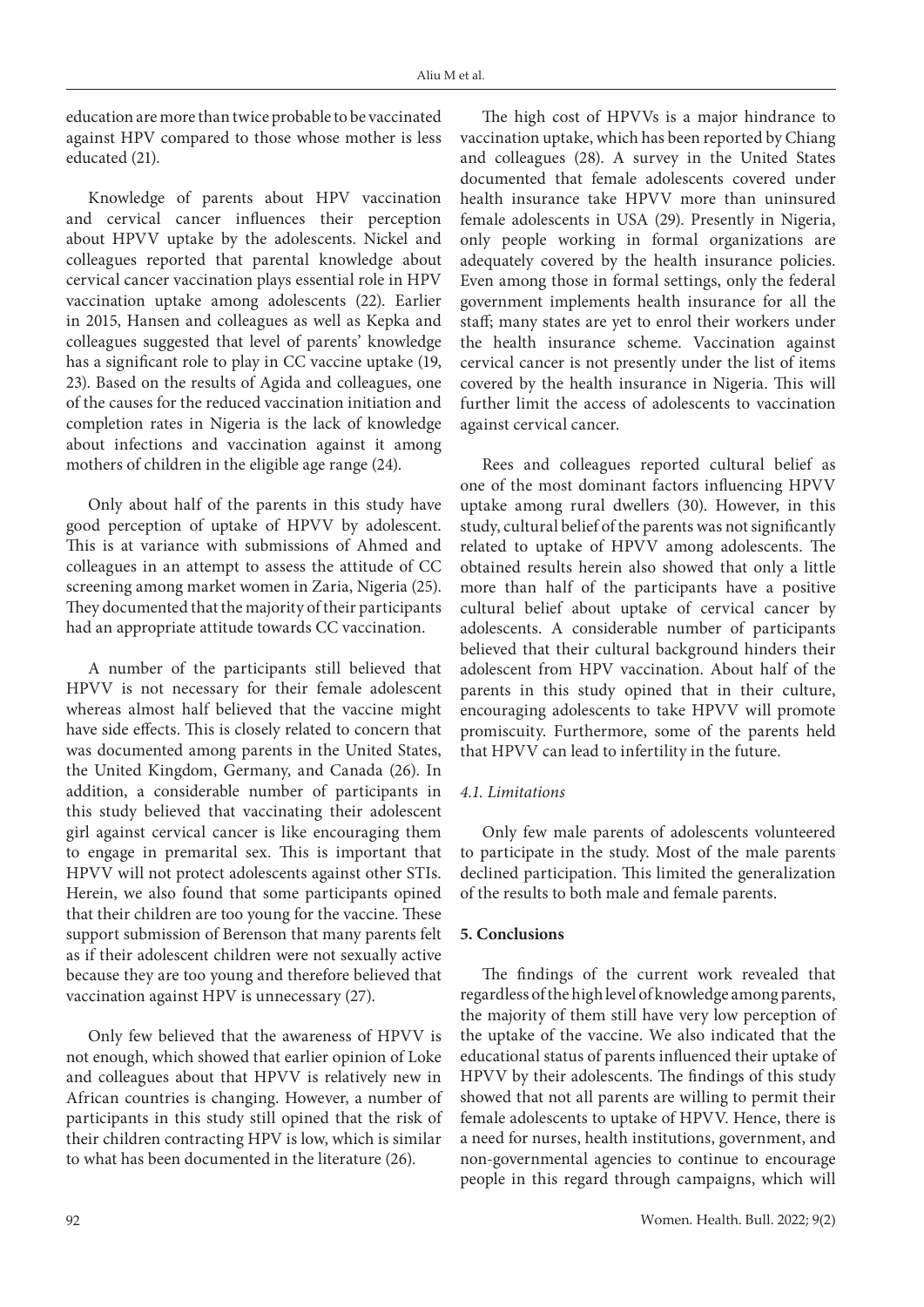education are more than twice probable to be vaccinated against HPV compared to those whose mother is less educated (21).

Knowledge of parents about HPV vaccination and cervical cancer influences their perception about HPVV uptake by the adolescents. Nickel and colleagues reported that parental knowledge about cervical cancer vaccination plays essential role in HPV vaccination uptake among adolescents (22). Earlier in 2015, Hansen and colleagues as well as Kepka and colleagues suggested that level of parents' knowledge has a significant role to play in CC vaccine uptake (19, 23). Based on the results of Agida and colleagues, one of the causes for the reduced vaccination initiation and completion rates in Nigeria is the lack of knowledge about infections and vaccination against it among mothers of children in the eligible age range (24).

Only about half of the parents in this study have good perception of uptake of HPVV by adolescent. This is at variance with submissions of Ahmed and colleagues in an attempt to assess the attitude of CC screening among market women in Zaria, Nigeria (25). They documented that the majority of their participants had an appropriate attitude towards CC vaccination.

A number of the participants still believed that HPVV is not necessary for their female adolescent whereas almost half believed that the vaccine might have side effects. This is closely related to concern that was documented among parents in the United States, the United Kingdom, Germany, and Canada (26). In addition, a considerable number of participants in this study believed that vaccinating their adolescent girl against cervical cancer is like encouraging them to engage in premarital sex. This is important that HPVV will not protect adolescents against other STIs. Herein, we also found that some participants opined that their children are too young for the vaccine. These support submission of Berenson that many parents felt as if their adolescent children were not sexually active because they are too young and therefore believed that vaccination against HPV is unnecessary (27).

Only few believed that the awareness of HPVV is not enough, which showed that earlier opinion of Loke and colleagues about that HPVV is relatively new in African countries is changing. However, a number of participants in this study still opined that the risk of their children contracting HPV is low, which is similar to what has been documented in the literature (26).

The high cost of HPVVs is a major hindrance to vaccination uptake, which has been reported by Chiang and colleagues (28). A survey in the United States documented that female adolescents covered under health insurance take HPVV more than uninsured female adolescents in USA (29). Presently in Nigeria, only people working in formal organizations are adequately covered by the health insurance policies. Even among those in formal settings, only the federal government implements health insurance for all the staff; many states are yet to enrol their workers under the health insurance scheme. Vaccination against cervical cancer is not presently under the list of items covered by the health insurance in Nigeria. This will further limit the access of adolescents to vaccination against cervical cancer.

Rees and colleagues reported cultural belief as one of the most dominant factors influencing HPVV uptake among rural dwellers (30). However, in this study, cultural belief of the parents was not significantly related to uptake of HPVV among adolescents. The obtained results herein also showed that only a little more than half of the participants have a positive cultural belief about uptake of cervical cancer by adolescents. A considerable number of participants believed that their cultural background hinders their adolescent from HPV vaccination. About half of the parents in this study opined that in their culture, encouraging adolescents to take HPVV will promote promiscuity. Furthermore, some of the parents held that HPVV can lead to infertility in the future.

### *4.1. Limitations*

Only few male parents of adolescents volunteered to participate in the study. Most of the male parents declined participation. This limited the generalization of the results to both male and female parents.

#### **5. Conclusions**

The findings of the current work revealed that regardless of the high level of knowledge among parents, the majority of them still have very low perception of the uptake of the vaccine. We also indicated that the educational status of parents influenced their uptake of HPVV by their adolescents. The findings of this study showed that not all parents are willing to permit their female adolescents to uptake of HPVV. Hence, there is a need for nurses, health institutions, government, and non-governmental agencies to continue to encourage people in this regard through campaigns, which will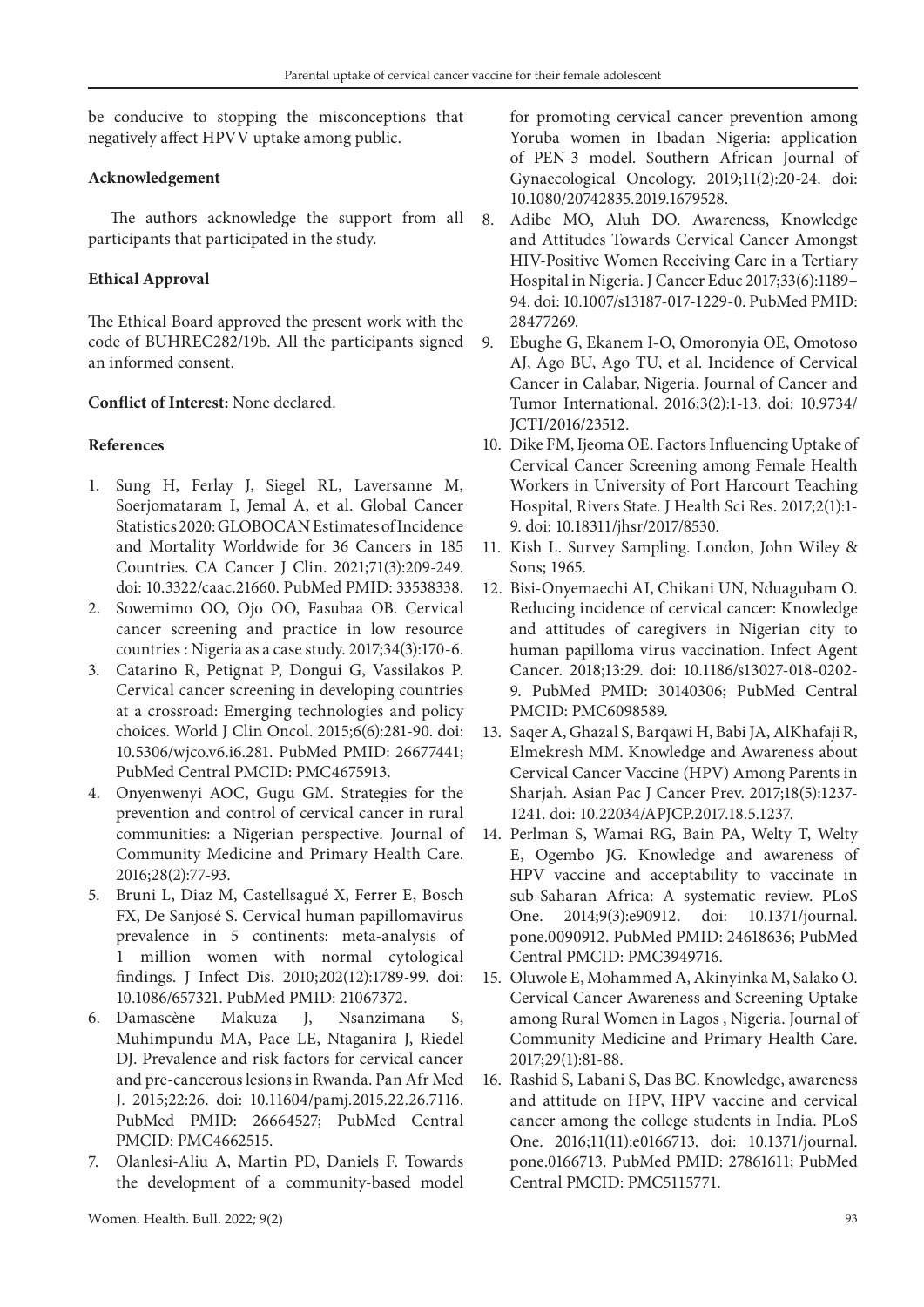be conducive to stopping the misconceptions that negatively affect HPVV uptake among public.

## **Acknowledgement**

The authors acknowledge the support from all participants that participated in the study.

# **Ethical Approval**

The Ethical Board approved the present work with the code of BUHREC282/19b. All the participants signed an informed consent.

# **Conflict of Interest:** None declared.

## **References**

- 1. Sung H, Ferlay J, Siegel RL, Laversanne M, Soerjomataram I, Jemal A, et al. Global Cancer Statistics 2020: GLOBOCAN Estimates of Incidence and Mortality Worldwide for 36 Cancers in 185 Countries. CA Cancer J Clin. 2021;71(3):209-249. doi: 10.3322/caac.21660. PubMed PMID: 33538338.
- 2. Sowemimo OO, Ojo OO, Fasubaa OB. Cervical cancer screening and practice in low resource countries : Nigeria as a case study. 2017;34(3):170-6.
- 3. Catarino R, Petignat P, Dongui G, Vassilakos P. Cervical cancer screening in developing countries at a crossroad: Emerging technologies and policy choices. World J Clin Oncol. 2015;6(6):281-90. doi: 10.5306/wjco.v6.i6.281. PubMed PMID: 26677441; PubMed Central PMCID: PMC4675913.
- 4. Onyenwenyi AOC, Gugu GM. Strategies for the prevention and control of cervical cancer in rural communities: a Nigerian perspective. Journal of Community Medicine and Primary Health Care. 2016;28(2):77-93.
- 5. Bruni L, Diaz M, Castellsagué X, Ferrer E, Bosch FX, De Sanjosé S. Cervical human papillomavirus prevalence in 5 continents: meta-analysis of 1 million women with normal cytological findings. J Infect Dis. 2010;202(12):1789-99. doi: 10.1086/657321. PubMed PMID: 21067372.
- 6. Damascène Makuza J, Nsanzimana S, Muhimpundu MA, Pace LE, Ntaganira J, Riedel DJ. Prevalence and risk factors for cervical cancer and pre-cancerous lesions in Rwanda. Pan Afr Med J. 2015;22:26. doi: 10.11604/pamj.2015.22.26.7116. PubMed PMID: 26664527; PubMed Central PMCID: PMC4662515.
- 7. Olanlesi-Aliu A, Martin PD, Daniels F. Towards the development of a community-based model

for promoting cervical cancer prevention among Yoruba women in Ibadan Nigeria: application of PEN-3 model. Southern African Journal of Gynaecological Oncology. 2019;11(2):20-24. doi: 10.1080/20742835.2019.1679528.

- 8. Adibe MO, Aluh DO. Awareness, Knowledge and Attitudes Towards Cervical Cancer Amongst HIV-Positive Women Receiving Care in a Tertiary Hospital in Nigeria. J Cancer Educ 2017;33(6):1189– 94. doi: 10.1007/s13187-017-1229-0. PubMed PMID: 28477269.
- 9. Ebughe G, Ekanem I-O, Omoronyia OE, Omotoso AJ, Ago BU, Ago TU, et al. Incidence of Cervical Cancer in Calabar, Nigeria. Journal of Cancer and Tumor International. 2016;3(2):1-13. doi: 10.9734/ JCTI/2016/23512.
- 10. Dike FM, Ijeoma OE. Factors Influencing Uptake of Cervical Cancer Screening among Female Health Workers in University of Port Harcourt Teaching Hospital, Rivers State. J Health Sci Res. 2017;2(1):1- 9. doi: 10.18311/jhsr/2017/8530.
- 11. Kish L. Survey Sampling. London, John Wiley & Sons; 1965.
- 12. Bisi-Onyemaechi AI, Chikani UN, Nduagubam O. Reducing incidence of cervical cancer: Knowledge and attitudes of caregivers in Nigerian city to human papilloma virus vaccination. Infect Agent Cancer. 2018;13:29. doi: 10.1186/s13027-018-0202- 9. PubMed PMID: 30140306; PubMed Central PMCID: PMC6098589.
- 13. Saqer A, Ghazal S, Barqawi H, Babi JA, AlKhafaji R, Elmekresh MM. Knowledge and Awareness about Cervical Cancer Vaccine (HPV) Among Parents in Sharjah. Asian Pac J Cancer Prev. 2017;18(5):1237- 1241. doi: 10.22034/APJCP.2017.18.5.1237.
- 14. Perlman S, Wamai RG, Bain PA, Welty T, Welty E, Ogembo JG. Knowledge and awareness of HPV vaccine and acceptability to vaccinate in sub-Saharan Africa: A systematic review. PLoS One. 2014;9(3):e90912. doi: 10.1371/journal. pone.0090912. PubMed PMID: 24618636; PubMed Central PMCID: PMC3949716.
- 15. Oluwole E, Mohammed A, Akinyinka M, Salako O. Cervical Cancer Awareness and Screening Uptake among Rural Women in Lagos , Nigeria. Journal of Community Medicine and Primary Health Care. 2017;29(1):81-88.
- 16. Rashid S, Labani S, Das BC. Knowledge, awareness and attitude on HPV, HPV vaccine and cervical cancer among the college students in India. PLoS One. 2016;11(11):e0166713. doi: 10.1371/journal. pone.0166713. PubMed PMID: 27861611; PubMed Central PMCID: PMC5115771.